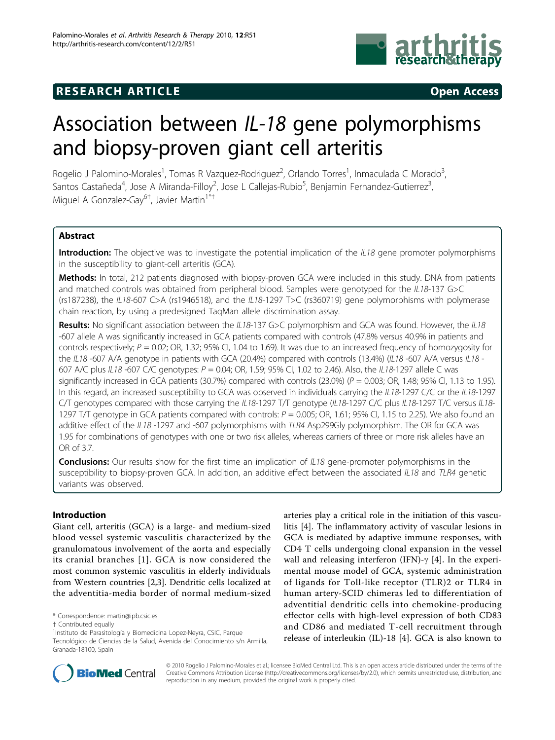

## **RESEARCH ARTICLE CONSUMING A RESEARCH ARTICLE**



# Association between IL-18 gene polymorphisms and biopsy-proven giant cell arteritis

Rogelio J Palomino-Morales<sup>1</sup>, Tomas R Vazquez-Rodriguez<sup>2</sup>, Orlando Torres<sup>1</sup>, Inmaculada C Morado<sup>3</sup> , Santos Castañeda<sup>4</sup>, Jose A Miranda-Filloy<sup>2</sup>, Jose L Callejas-Rubio<sup>5</sup>, Benjamin Fernandez-Gutierrez<sup>3</sup> , Miguel A Gonzalez-Gay<sup>6†</sup>, Javier Martin<sup>1\*†</sup>

## Abstract

Introduction: The objective was to investigate the potential implication of the IL18 gene promoter polymorphisms in the susceptibility to giant-cell arteritis (GCA).

Methods: In total, 212 patients diagnosed with biopsy-proven GCA were included in this study. DNA from patients and matched controls was obtained from peripheral blood. Samples were genotyped for the IL18-137 G>C (rs187238), the IL18-607 C>A (rs1946518), and the IL18-1297 T>C (rs360719) gene polymorphisms with polymerase chain reaction, by using a predesigned TaqMan allele discrimination assay.

Results: No significant association between the IL18-137 G>C polymorphism and GCA was found. However, the IL18 -607 allele A was significantly increased in GCA patients compared with controls (47.8% versus 40.9% in patients and controls respectively;  $P = 0.02$ ; OR, 1.32; 95% CI, 1.04 to 1.69). It was due to an increased frequency of homozygosity for the IL18 -607 A/A genotype in patients with GCA (20.4%) compared with controls (13.4%) (IL18 -607 A/A versus IL18 -607 A/C plus IL18 -607 C/C genotypes:  $P = 0.04$ ; OR, 1.59; 95% CI, 1.02 to 2.46). Also, the IL18-1297 allele C was significantly increased in GCA patients (30.7%) compared with controls (23.0%) ( $P = 0.003$ ; OR, 1.48; 95% CI, 1.13 to 1.95). In this regard, an increased susceptibility to GCA was observed in individuals carrying the IL18-1297 C/C or the IL18-1297 C/T genotypes compared with those carrying the IL18-1297 T/T genotype (IL18-1297 C/C plus IL18-1297 T/C versus IL18-1297 T/T genotype in GCA patients compared with controls:  $P = 0.005$ ; OR, 1.61; 95% CI, 1.15 to 2.25). We also found an additive effect of the IL18 -1297 and -607 polymorphisms with TLR4 Asp299Gly polymorphism. The OR for GCA was 1.95 for combinations of genotypes with one or two risk alleles, whereas carriers of three or more risk alleles have an OR of 3.7.

**Conclusions:** Our results show for the first time an implication of IL18 gene-promoter polymorphisms in the susceptibility to biopsy-proven GCA. In addition, an additive effect between the associated IL18 and TLR4 genetic variants was observed.

## Introduction

Giant cell, arteritis (GCA) is a large- and medium-sized blood vessel systemic vasculitis characterized by the granulomatous involvement of the aorta and especially its cranial branches [[1\]](#page-5-0). GCA is now considered the most common systemic vasculitis in elderly individuals from Western countries [[2](#page-5-0),[3](#page-5-0)]. Dendritic cells localized at the adventitia-media border of normal medium-sized

\* Correspondence: [martin@ipb.csic.es](mailto:martin@ipb.csic.es)

arteries play a critical role in the initiation of this vasculitis [\[4](#page-5-0)]. The inflammatory activity of vascular lesions in GCA is mediated by adaptive immune responses, with CD4 T cells undergoing clonal expansion in the vessel wall and releasing interferon (IFN)- $\gamma$  [\[4](#page-5-0)]. In the experimental mouse model of GCA, systemic administration of ligands for Toll-like receptor (TLR)2 or TLR4 in human artery-SCID chimeras led to differentiation of adventitial dendritic cells into chemokine-producing effector cells with high-level expression of both CD83 and CD86 and mediated T-cell recruitment through release of interleukin (IL)-18 [\[4](#page-5-0)]. GCA is also known to



© 2010 Rogelio J Palomino-Morales et al.; licensee BioMed Central Ltd. This is an open access article distributed under the terms of the Creative Commons Attribution License (<http://creativecommons.org/licenses/by/2.0>), which permits unrestricted use, distribution, and reproduction in any medium, provided the original work is properly cited.

<sup>†</sup> Contributed equally <sup>1</sup>

<sup>&</sup>lt;sup>1</sup>Instituto de Parasitología y Biomedicina Lopez-Neyra, CSIC, Parque

Tecnológico de Ciencias de la Salud, Avenida del Conocimiento s/n Armilla, Granada-18100, Spain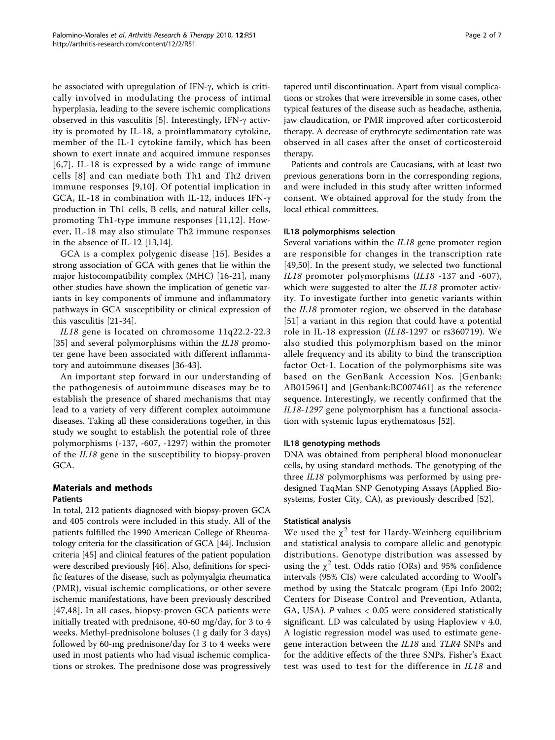be associated with upregulation of IFN- $\gamma$ , which is critically involved in modulating the process of intimal hyperplasia, leading to the severe ischemic complications observed in this vasculitis [\[5](#page-5-0)]. Interestingly, IFN- $\gamma$  activity is promoted by IL-18, a proinflammatory cytokine, member of the IL-1 cytokine family, which has been shown to exert innate and acquired immune responses [[6](#page-5-0),[7](#page-5-0)]. IL-18 is expressed by a wide range of immune cells [[8](#page-5-0)] and can mediate both Th1 and Th2 driven immune responses [[9](#page-5-0),[10](#page-5-0)]. Of potential implication in GCA, IL-18 in combination with IL-12, induces IFN- $\gamma$ production in Th1 cells, B cells, and natural killer cells, promoting Th1-type immune responses [[11,12\]](#page-5-0). However, IL-18 may also stimulate Th2 immune responses in the absence of IL-12 [[13,14](#page-5-0)].

GCA is a complex polygenic disease [[15](#page-5-0)]. Besides a strong association of GCA with genes that lie within the major histocompatibility complex (MHC) [[16-21](#page-5-0)], many other studies have shown the implication of genetic variants in key components of immune and inflammatory pathways in GCA susceptibility or clinical expression of this vasculitis [[21-34](#page-5-0)].

IL18 gene is located on chromosome 11q22.2-22.3 [[35\]](#page-6-0) and several polymorphisms within the *IL18* promoter gene have been associated with different inflammatory and autoimmune diseases [[36-43](#page-6-0)].

An important step forward in our understanding of the pathogenesis of autoimmune diseases may be to establish the presence of shared mechanisms that may lead to a variety of very different complex autoimmune diseases. Taking all these considerations together, in this study we sought to establish the potential role of three polymorphisms (-137, -607, -1297) within the promoter of the IL18 gene in the susceptibility to biopsy-proven GCA.

## Materials and methods Patients

In total, 212 patients diagnosed with biopsy-proven GCA and 405 controls were included in this study. All of the patients fulfilled the 1990 American College of Rheumatology criteria for the classification of GCA [[44](#page-6-0)]. Inclusion criteria [\[45\]](#page-6-0) and clinical features of the patient population were described previously [[46](#page-6-0)]. Also, definitions for specific features of the disease, such as polymyalgia rheumatica (PMR), visual ischemic complications, or other severe ischemic manifestations, have been previously described [[47](#page-6-0),[48](#page-6-0)]. In all cases, biopsy-proven GCA patients were initially treated with prednisone, 40-60 mg/day, for 3 to 4 weeks. Methyl-prednisolone boluses (1 g daily for 3 days) followed by 60-mg prednisone/day for 3 to 4 weeks were used in most patients who had visual ischemic complications or strokes. The prednisone dose was progressively

tapered until discontinuation. Apart from visual complications or strokes that were irreversible in some cases, other typical features of the disease such as headache, asthenia, jaw claudication, or PMR improved after corticosteroid therapy. A decrease of erythrocyte sedimentation rate was observed in all cases after the onset of corticosteroid therapy.

Patients and controls are Caucasians, with at least two previous generations born in the corresponding regions, and were included in this study after written informed consent. We obtained approval for the study from the local ethical committees.

## IL18 polymorphisms selection

Several variations within the IL18 gene promoter region are responsible for changes in the transcription rate [[49,50\]](#page-6-0). In the present study, we selected two functional IL18 promoter polymorphisms (IL18 -137 and -607), which were suggested to alter the IL18 promoter activity. To investigate further into genetic variants within the IL18 promoter region, we observed in the database [[51](#page-6-0)] a variant in this region that could have a potential role in IL-18 expression (IL18-1297 or rs360719). We also studied this polymorphism based on the minor allele frequency and its ability to bind the transcription factor Oct-1. Location of the polymorphisms site was based on the GenBank Accession Nos. [Genbank: AB015961] and [Genbank:BC007461] as the reference sequence. Interestingly, we recently confirmed that the IL18-1297 gene polymorphism has a functional association with systemic lupus erythematosus [\[52](#page-6-0)].

## IL18 genotyping methods

DNA was obtained from peripheral blood mononuclear cells, by using standard methods. The genotyping of the three IL18 polymorphisms was performed by using predesigned TaqMan SNP Genotyping Assays (Applied Biosystems, Foster City, CA), as previously described [[52\]](#page-6-0).

## Statistical analysis

We used the  $\chi^2$  test for Hardy-Weinberg equilibrium and statistical analysis to compare allelic and genotypic distributions. Genotype distribution was assessed by using the  $\chi^2$  test. Odds ratio (ORs) and 95% confidence intervals (95% CIs) were calculated according to Woolf's method by using the Statcalc program (Epi Info 2002; Centers for Disease Control and Prevention, Atlanta, GA, USA). P values < 0.05 were considered statistically significant. LD was calculated by using Haploview v 4.0. A logistic regression model was used to estimate genegene interaction between the IL18 and TLR4 SNPs and for the additive effects of the three SNPs. Fisher's Exact test was used to test for the difference in IL18 and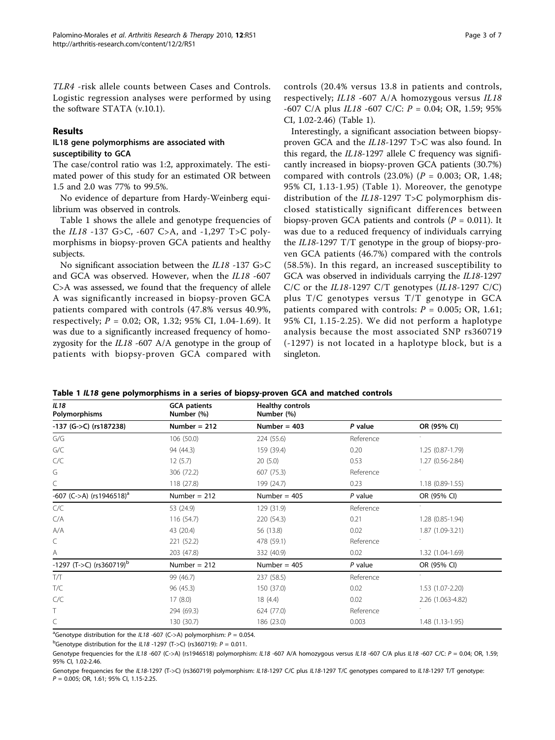TLR4 -risk allele counts between Cases and Controls. Logistic regression analyses were performed by using the software STATA (v.10.1).

## Results

## IL18 gene polymorphisms are associated with susceptibility to GCA

The case/control ratio was 1:2, approximately. The estimated power of this study for an estimated OR between 1.5 and 2.0 was 77% to 99.5%.

No evidence of departure from Hardy-Weinberg equilibrium was observed in controls.

Table 1 shows the allele and genotype frequencies of the IL18 -137 G>C, -607 C>A, and -1,297 T>C polymorphisms in biopsy-proven GCA patients and healthy subjects.

No significant association between the IL18 -137 G>C and GCA was observed. However, when the IL18 -607 C>A was assessed, we found that the frequency of allele A was significantly increased in biopsy-proven GCA patients compared with controls (47.8% versus 40.9%, respectively;  $P = 0.02$ ; OR, 1.32; 95% CI, 1.04-1.69). It was due to a significantly increased frequency of homozygosity for the IL18 -607 A/A genotype in the group of patients with biopsy-proven GCA compared with

controls (20.4% versus 13.8 in patients and controls, respectively; IL18 -607 A/A homozygous versus IL18  $-607$  C/A plus IL18  $-607$  C/C:  $P = 0.04$ ; OR, 1.59; 95% CI, 1.02-2.46) (Table 1).

Interestingly, a significant association between biopsyproven GCA and the IL18-1297 T>C was also found. In this regard, the IL18-1297 allele C frequency was significantly increased in biopsy-proven GCA patients (30.7%) compared with controls  $(23.0%)$   $(P = 0.003; OR, 1.48;$ 95% CI, 1.13-1.95) (Table 1). Moreover, the genotype distribution of the IL18-1297 T>C polymorphism disclosed statistically significant differences between biopsy-proven GCA patients and controls ( $P = 0.011$ ). It was due to a reduced frequency of individuals carrying the IL18-1297 T/T genotype in the group of biopsy-proven GCA patients (46.7%) compared with the controls (58.5%). In this regard, an increased susceptibility to GCA was observed in individuals carrying the IL18-1297 C/C or the  $IL18-1297$  C/T genotypes ( $IL18-1297$  C/C) plus T/C genotypes versus T/T genotype in GCA patients compared with controls:  $P = 0.005$ ; OR, 1.61; 95% CI, 1.15-2.25). We did not perform a haplotype analysis because the most associated SNP rs360719 (-1297) is not located in a haplotype block, but is a singleton.

| Table 1 IL18 gene polymorphisms in a series of biopsy-proven GCA and matched controls |  |  |  |
|---------------------------------------------------------------------------------------|--|--|--|
|---------------------------------------------------------------------------------------|--|--|--|

| IL18<br>Polymorphisms                         | <b>GCA</b> patients<br>Number (%) | <b>Healthy controls</b><br>Number (%) |           |                   |
|-----------------------------------------------|-----------------------------------|---------------------------------------|-----------|-------------------|
| $-137$ (G $\text{-}$ $\text{-}$ C) (rs187238) | Number = $212$                    | Number = $403$                        | P value   | OR (95% CI)       |
| G/G                                           | 106 (50.0)                        | 224 (55.6)                            | Reference |                   |
| G/C                                           | 94 (44.3)                         | 159 (39.4)                            | 0.20      | $1.25(0.87-1.79)$ |
| C/C                                           | 12(5.7)                           | 20(5.0)                               | 0.53      | 1.27 (0.56-2.84)  |
| G                                             | 306 (72.2)                        | 607 (75.3)                            | Reference |                   |
| C                                             | 118 (27.8)                        | 199 (24.7)                            | 0.23      | $1.18(0.89-1.55)$ |
| -607 (C->A) (rs1946518) <sup>a</sup>          | Number $= 212$                    | Number = $405$                        | $P$ value | OR (95% CI)       |
| C/C                                           | 53 (24.9)                         | 129 (31.9)                            | Reference |                   |
| C/A                                           | 116(54.7)                         | 220 (54.3)                            | 0.21      | 1.28 (0.85-1.94)  |
| A/A                                           | 43 (20.4)                         | 56 (13.8)                             | 0.02      | 1.87 (1.09-3.21)  |
| С                                             | 221 (52.2)                        | 478 (59.1)                            | Reference |                   |
| Α                                             | 203 (47.8)                        | 332 (40.9)                            | 0.02      | 1.32 (1.04-1.69)  |
| $-1297$ (T->C) (rs360719) <sup>b</sup>        | Number = $212$                    | Number = $405$                        | $P$ value | OR (95% CI)       |
| T/T                                           | 99 (46.7)                         | 237 (58.5)                            | Reference |                   |
| T/C                                           | 96 (45.3)                         | 150 (37.0)                            | 0.02      | 1.53 (1.07-2.20)  |
| C/C                                           | 17(8.0)                           | 18 (4.4)                              | 0.02      | 2.26 (1.063-4.82) |
| T                                             | 294 (69.3)                        | 624 (77.0)                            | Reference |                   |
| C                                             | 130 (30.7)                        | 186 (23.0)                            | 0.003     | 1.48 (1.13-1.95)  |

<sup>a</sup>Genotype distribution for the IL18 -607 (C->A) polymorphism:  $P = 0.054$ .

<sup>b</sup>Genotype distribution for the IL18 -1297 (T->C) (rs360719):  $P = 0.011$ .

Genotype frequencies for the IL18 -607 (C->A) (rs1946518) polymorphism: IL18 -607 A/A homozygous versus IL18 -607 C/A plus IL18 -607 C/C: P = 0.04; OR, 1.59; 95% CI, 1.02-2.46.

Genotype frequencies for the IL18-1297 (T->C) (rs360719) polymorphism: IL18-1297 C/C plus IL18-1297 T/C genotypes compared to IL18-1297 T/T genotype: P = 0.005; OR, 1.61; 95% CI, 1.15-2.25.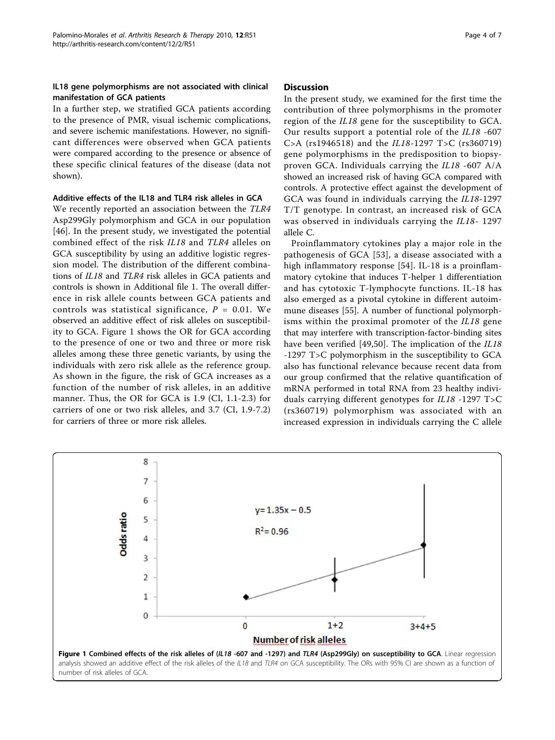## IL18 gene polymorphisms are not associated with clinical manifestation of GCA patients

In a further step, we stratified GCA patients according to the presence of PMR, visual ischemic complications, and severe ischemic manifestations. However, no significant differences were observed when GCA patients were compared according to the presence or absence of these specific clinical features of the disease (data not shown).

## Additive effects of the IL18 and TLR4 risk alleles in GCA

We recently reported an association between the TLR4 Asp299Gly polymorphism and GCA in our population [[46\]](#page-6-0). In the present study, we investigated the potential combined effect of the risk IL18 and TLR4 alleles on GCA susceptibility by using an additive logistic regression model. The distribution of the different combinations of IL18 and TLR4 risk alleles in GCA patients and controls is shown in Additional file [1](#page-4-0). The overall difference in risk allele counts between GCA patients and controls was statistical significance,  $P = 0.01$ . We observed an additive effect of risk alleles on susceptibility to GCA. Figure 1 shows the OR for GCA according to the presence of one or two and three or more risk alleles among these three genetic variants, by using the individuals with zero risk allele as the reference group. As shown in the figure, the risk of GCA increases as a function of the number of risk alleles, in an additive manner. Thus, the OR for GCA is 1.9 (CI, 1.1-2.3) for carriers of one or two risk alleles, and 3.7 (CI, 1.9-7.2) for carriers of three or more risk alleles.

#### **Discussion**

In the present study, we examined for the first time the contribution of three polymorphisms in the promoter region of the IL18 gene for the susceptibility to GCA. Our results support a potential role of the IL18 -607 C>A (rs1946518) and the IL18-1297 T>C (rs360719) gene polymorphisms in the predisposition to biopsyproven GCA. Individuals carrying the IL18 -607 A/A showed an increased risk of having GCA compared with controls. A protective effect against the development of GCA was found in individuals carrying the IL18-1297 T/T genotype. In contrast, an increased risk of GCA was observed in individuals carrying the IL18- 1297 allele C.

Proinflammatory cytokines play a major role in the pathogenesis of GCA [[53\]](#page-6-0), a disease associated with a high inflammatory response [\[54](#page-6-0)]. IL-18 is a proinflammatory cytokine that induces T-helper 1 differentiation and has cytotoxic T-lymphocyte functions. IL-18 has also emerged as a pivotal cytokine in different autoimmune diseases [\[55\]](#page-6-0). A number of functional polymorphisms within the proximal promoter of the IL18 gene that may interfere with transcription-factor-binding sites have been verified [[49,50](#page-6-0)]. The implication of the IL18 -1297 T>C polymorphism in the susceptibility to GCA also has functional relevance because recent data from our group confirmed that the relative quantification of mRNA performed in total RNA from 23 healthy individuals carrying different genotypes for IL18 -1297 T>C (rs360719) polymorphism was associated with an increased expression in individuals carrying the C allele

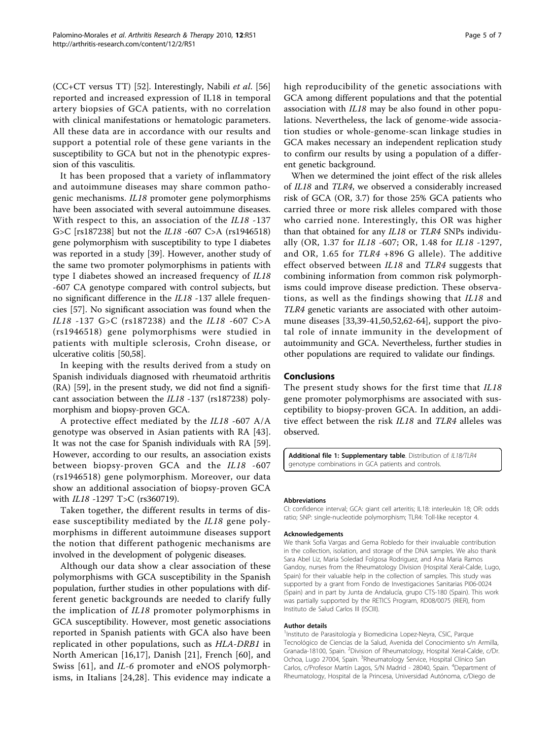<span id="page-4-0"></span>(CC+CT versus TT) [\[52\]](#page-6-0). Interestingly, Nabili et al. [[56](#page-6-0)] reported and increased expression of IL18 in temporal artery biopsies of GCA patients, with no correlation with clinical manifestations or hematologic parameters. All these data are in accordance with our results and support a potential role of these gene variants in the susceptibility to GCA but not in the phenotypic expression of this vasculitis.

It has been proposed that a variety of inflammatory and autoimmune diseases may share common pathogenic mechanisms. IL18 promoter gene polymorphisms have been associated with several autoimmune diseases. With respect to this, an association of the IL18 -137 G>C [rs187238] but not the IL18 -607 C>A (rs1946518) gene polymorphism with susceptibility to type I diabetes was reported in a study [\[39](#page-6-0)]. However, another study of the same two promoter polymorphisms in patients with type I diabetes showed an increased frequency of IL18 -607 CA genotype compared with control subjects, but no significant difference in the IL18 -137 allele frequencies [\[57](#page-6-0)]. No significant association was found when the IL18 -137 G>C (rs187238) and the IL18 -607 C>A (rs1946518) gene polymorphisms were studied in patients with multiple sclerosis, Crohn disease, or ulcerative colitis [\[50,58](#page-6-0)].

In keeping with the results derived from a study on Spanish individuals diagnosed with rheumatoid arthritis (RA) [\[59](#page-6-0)], in the present study, we did not find a significant association between the IL18 -137 (rs187238) polymorphism and biopsy-proven GCA.

A protective effect mediated by the IL18 -607 A/A genotype was observed in Asian patients with RA [[43](#page-6-0)]. It was not the case for Spanish individuals with RA [\[59](#page-6-0)]. However, according to our results, an association exists between biopsy-proven GCA and the IL18 -607 (rs1946518) gene polymorphism. Moreover, our data show an additional association of biopsy-proven GCA with IL18 -1297 T>C (rs360719).

Taken together, the different results in terms of disease susceptibility mediated by the IL18 gene polymorphisms in different autoimmune diseases support the notion that different pathogenic mechanisms are involved in the development of polygenic diseases.

Although our data show a clear association of these polymorphisms with GCA susceptibility in the Spanish population, further studies in other populations with different genetic backgrounds are needed to clarify fully the implication of IL18 promoter polymorphisms in GCA susceptibility. However, most genetic associations reported in Spanish patients with GCA also have been replicated in other populations, such as HLA-DRB1 in North American [\[16](#page-5-0),[17\]](#page-5-0), Danish [[21](#page-5-0)], French [[60](#page-6-0)], and Swiss [[61](#page-6-0)], and IL-6 promoter and eNOS polymorphisms, in Italians [[24](#page-5-0),[28\]](#page-5-0). This evidence may indicate a high reproducibility of the genetic associations with GCA among different populations and that the potential association with IL18 may be also found in other populations. Nevertheless, the lack of genome-wide association studies or whole-genome-scan linkage studies in GCA makes necessary an independent replication study to confirm our results by using a population of a different genetic background.

When we determined the joint effect of the risk alleles of IL18 and TLR4, we observed a considerably increased risk of GCA (OR, 3.7) for those 25% GCA patients who carried three or more risk alleles compared with those who carried none. Interestingly, this OR was higher than that obtained for any IL18 or TLR4 SNPs individually (OR, 1.37 for IL18 -607; OR, 1.48 for IL18 -1297, and OR, 1.65 for TLR4 +896 G allele). The additive effect observed between IL18 and TLR4 suggests that combining information from common risk polymorphisms could improve disease prediction. These observations, as well as the findings showing that IL18 and TLR4 genetic variants are associated with other autoimmune diseases [[33,](#page-5-0)[39](#page-6-0)-[41,50,52,62](#page-6-0)-[64\]](#page-6-0), support the pivotal role of innate immunity in the development of autoimmunity and GCA. Nevertheless, further studies in other populations are required to validate our findings.

## Conclusions

The present study shows for the first time that IL18 gene promoter polymorphisms are associated with susceptibility to biopsy-proven GCA. In addition, an additive effect between the risk IL18 and TLR4 alleles was observed.

Additional file 1: Supplementary table. Distribution of IL18/TLR4 genotype combinations in GCA patients and controls.

#### Abbreviations

CI: confidence interval; GCA: giant cell arteritis; IL18: interleukin 18; OR: odds ratio; SNP: single-nucleotide polymorphism; TLR4: Toll-like receptor 4.

#### Acknowledgements

We thank Sofia Vargas and Gema Robledo for their invaluable contribution in the collection, isolation, and storage of the DNA samples. We also thank Sara Abel Liz, Maria Soledad Folgosa Rodriguez, and Ana Maria Ramos Gandoy, nurses from the Rheumatology Division (Hospital Xeral-Calde, Lugo, Spain) for their valuable help in the collection of samples. This study was supported by a grant from Fondo de Investigaciones Sanitarias PI06-0024 (Spain) and in part by Junta de Andalucía, grupo CTS-180 (Spain). This work was partially supported by the RETICS Program, RD08/0075 (RIER), from Instituto de Salud Carlos III (ISCIII).

#### Author details

<sup>1</sup>Instituto de Parasitología y Biomedicina Lopez-Neyra, CSIC, Parque Tecnológico de Ciencias de la Salud, Avenida del Conocimiento s/n Armilla, Granada-18100, Spain. <sup>2</sup>Division of Rheumatology, Hospital Xeral-Calde, c/Dr. Ochoa, Lugo 27004, Spain. <sup>3</sup>Rheumatology Service, Hospital Clínico San Carlos, c/Profesor Martín Lagos, S/N Madrid - 28040, Spain. <sup>4</sup>Department of Rheumatology, Hospital de la Princesa, Universidad Autónoma, c/Diego de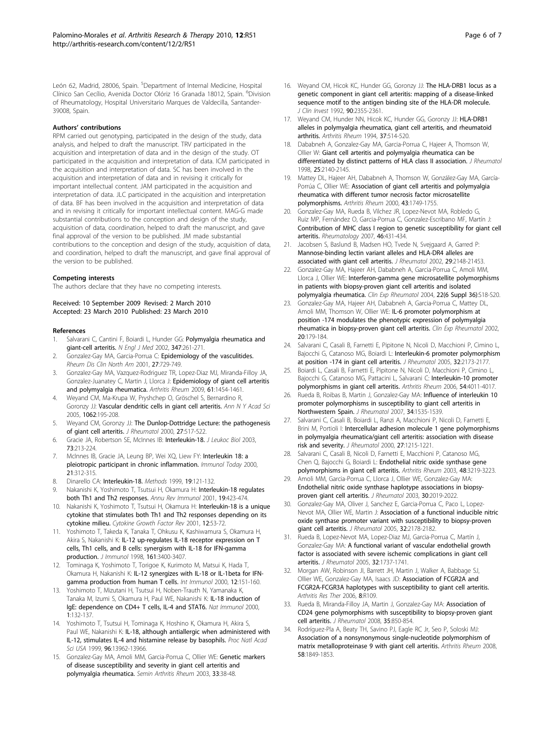<span id="page-5-0"></span>León 62, Madrid, 28006, Spain. <sup>5</sup>Department of Internal Medicine, Hospital Clínico San Cecílio, Avenida Doctor Olóriz 16 Granada 18012, Spain. <sup>6</sup>Division of Rheumatology, Hospital Universitario Marques de Valdecilla, Santander-39008, Spain.

#### Authors' contributions

RPM carried out genotyping, participated in the design of the study, data analysis, and helped to draft the manuscript. TRV participated in the acquisition and interpretation of data and in the design of the study. OT participated in the acquisition and interpretation of data. ICM participated in the acquisition and interpretation of data. SC has been involved in the acquisition and interpretation of data and in revising it critically for important intellectual content. JAM participated in the acquisition and interpretation of data. JLC participated in the acquisition and interpretation of data. BF has been involved in the acquisition and interpretation of data and in revising it critically for important intellectual content. MAG-G made substantial contributions to the conception and design of the study, acquisition of data, coordination, helped to draft the manuscript, and gave final approval of the version to be published. JM made substantial contributions to the conception and design of the study, acquisition of data, and coordination, helped to draft the manuscript, and gave final approval of the version to be published.

#### Competing interests

The authors declare that they have no competing interests.

Received: 10 September 2009 Revised: 2 March 2010 Accepted: 23 March 2010 Published: 23 March 2010

#### References

- Salvarani C, Cantini F, Boiardi L, Hunder GG: [Polymyalgia rheumatica and](http://www.ncbi.nlm.nih.gov/pubmed/12140303?dopt=Abstract) [giant-cell arteritis.](http://www.ncbi.nlm.nih.gov/pubmed/12140303?dopt=Abstract) N Engl J Med 2002, 347:261-271.
- 2. Gonzalez-Gay MA, Garcia-Porrua C: [Epidemiology of the vasculitides.](http://www.ncbi.nlm.nih.gov/pubmed/11723761?dopt=Abstract) Rheum Dis Clin North Am 2001, 27:729-749.
- 3. Gonzalez-Gay MA, Vazquez-Rodriguez TR, Lopez-Diaz MJ, Miranda-Filloy JA, Gonzalez-Juanatey C, Martin J, Llorca J: [Epidemiology of giant cell arteritis](http://www.ncbi.nlm.nih.gov/pubmed/19790127?dopt=Abstract) [and polymyalgia rheumatica.](http://www.ncbi.nlm.nih.gov/pubmed/19790127?dopt=Abstract) Arthritis Rheum 2009, 61:1454-1461.
- 4. Weyand CM, Ma-Krupa W, Pryshchep O, Gröschel S, Bernardino R, Goronzy JJ: [Vascular dendritic cells in giant cell arteritis.](http://www.ncbi.nlm.nih.gov/pubmed/16461802?dopt=Abstract) Ann N Y Acad Sci 2005, 1062:195-208.
- 5. Weyand CM, Goronzy JJ: [The Dunlop-Dottridge Lecture: the pathogenesis](http://www.ncbi.nlm.nih.gov/pubmed/10685826?dopt=Abstract) [of giant cell arteritis.](http://www.ncbi.nlm.nih.gov/pubmed/10685826?dopt=Abstract) J Rheumatol 2000, 27:517-522.
- 6. Gracie JA, Robertson SE, McInnes IB: [Interleukin-18.](http://www.ncbi.nlm.nih.gov/pubmed/12554798?dopt=Abstract) J Leukoc Biol 2003, 73:213-224.
- 7. McInnes IB, Gracie JA, Leung BP, Wei XQ, Liew FY: [Interleukin 18: a](http://www.ncbi.nlm.nih.gov/pubmed/10871869?dopt=Abstract) [pleiotropic participant in chronic inflammation.](http://www.ncbi.nlm.nih.gov/pubmed/10871869?dopt=Abstract) Immunol Today 2000, 21:312-315.
- Dinarello CA: [Interleukin-18.](http://www.ncbi.nlm.nih.gov/pubmed/10525448?dopt=Abstract) Methods 1999, 19:121-132.
- Nakanishi K, Yoshimoto T, Tsutsui H, Okamura H: [Interleukin-18 regulates](http://www.ncbi.nlm.nih.gov/pubmed/11244043?dopt=Abstract) [both Th1 and Th2 responses.](http://www.ncbi.nlm.nih.gov/pubmed/11244043?dopt=Abstract) Annu Rev Immunol 2001, 19:423-474.
- 10. Nakanishi K, Yoshimoto T, Tsutsui H, Okamura H: [Interleukin-18 is a unique](http://www.ncbi.nlm.nih.gov/pubmed/11312119?dopt=Abstract) [cytokine that stimulates both Th1 and Th2 responses depending on its](http://www.ncbi.nlm.nih.gov/pubmed/11312119?dopt=Abstract) [cytokine milieu.](http://www.ncbi.nlm.nih.gov/pubmed/11312119?dopt=Abstract) Cytokine Growth Factor Rev 2001, 12:53-72.
- 11. Yoshimoto T, Takeda K, Tanaka T, Ohkusu K, Kashiwamura S, Okamura H, Akira S, Nakanishi K: [IL-12 up-regulates IL-18 receptor expression on T](http://www.ncbi.nlm.nih.gov/pubmed/9759857?dopt=Abstract) [cells, Th1 cells, and B cells: synergism with IL-18 for IFN-gamma](http://www.ncbi.nlm.nih.gov/pubmed/9759857?dopt=Abstract) [production.](http://www.ncbi.nlm.nih.gov/pubmed/9759857?dopt=Abstract) J Immunol 1998, 161:3400-3407.
- 12. Tominaga K, Yoshimoto T, Torigoe K, Kurimoto M, Matsui K, Hada T, Okamura H, Nakanishi K: [IL-12 synergizes with IL-18 or IL-1beta for IFN](http://www.ncbi.nlm.nih.gov/pubmed/10653850?dopt=Abstract)[gamma production from human T cells.](http://www.ncbi.nlm.nih.gov/pubmed/10653850?dopt=Abstract) Int Immunol 2000, 12:151-160.
- 13. Yoshimoto T, Mizutani H, Tsutsui H, Noben-Trauth N, Yamanaka K, Tanaka M, Izumi S, Okamura H, Paul WE, Nakanishi K: [IL-18 induction of](http://www.ncbi.nlm.nih.gov/pubmed/11248805?dopt=Abstract) [IgE: dependence on CD4+ T cells, IL-4 and STAT6.](http://www.ncbi.nlm.nih.gov/pubmed/11248805?dopt=Abstract) Nat Immunol 2000, 1:132-137.
- 14. Yoshimoto T, Tsutsui H, Tominaga K, Hoshino K, Okamura H, Akira S, Paul WE, Nakanishi K: [IL-18, although antiallergic when administered with](http://www.ncbi.nlm.nih.gov/pubmed/10570181?dopt=Abstract) [IL-12, stimulates IL-4 and histamine release by basophils.](http://www.ncbi.nlm.nih.gov/pubmed/10570181?dopt=Abstract) Proc Natl Acad Sci USA 1999, 96:13962-13966.
- 15. Gonzalez-Gay MA, Amoli MM, Garcia-Porrua C, Ollier WE: [Genetic markers](http://www.ncbi.nlm.nih.gov/pubmed/12920695?dopt=Abstract) [of disease susceptibility and severity in giant cell arteritis and](http://www.ncbi.nlm.nih.gov/pubmed/12920695?dopt=Abstract) [polymyalgia rheumatica.](http://www.ncbi.nlm.nih.gov/pubmed/12920695?dopt=Abstract) Semin Arthritis Rheum 2003, 33:38-48.
- 16. Weyand CM, Hicok KC, Hunder GG, Goronzy JJ: [The HLA-DRB1 locus as a](http://www.ncbi.nlm.nih.gov/pubmed/1469092?dopt=Abstract) [genetic component in giant cell arteritis: mapping of a disease-linked](http://www.ncbi.nlm.nih.gov/pubmed/1469092?dopt=Abstract) [sequence motif to the antigen binding site of the HLA-DR molecule.](http://www.ncbi.nlm.nih.gov/pubmed/1469092?dopt=Abstract) J Clin Invest 1992, 90:2355-2361.
- 17. Weyand CM, Hunder NN, Hicok KC, Hunder GG, Goronzy JJ: [HLA-DRB1](http://www.ncbi.nlm.nih.gov/pubmed/8147928?dopt=Abstract) [alleles in polymyalgia rheumatica, giant cell arteritis, and rheumatoid](http://www.ncbi.nlm.nih.gov/pubmed/8147928?dopt=Abstract) [arthritis.](http://www.ncbi.nlm.nih.gov/pubmed/8147928?dopt=Abstract) Arthritis Rheum 1994, 37:514-520.
- 18. Dababneh A, Gonzalez-Gay MA, Garcia-Porrua C, Hajeer A, Thomson W, Ollier W: [Giant cell arteritis and polymyalgia rheumatica can be](http://www.ncbi.nlm.nih.gov/pubmed/9818656?dopt=Abstract) [differentiated by distinct patterns of HLA class II association.](http://www.ncbi.nlm.nih.gov/pubmed/9818656?dopt=Abstract) J Rheumatol 1998, 25:2140-2145.
- 19. Mattey DL, Hajeer AH, Dababneh A, Thomson W, González-Gay MA, García-Porrúa C, Ollier WE: [Association of giant cell arteritis and polymyalgia](http://www.ncbi.nlm.nih.gov/pubmed/10943865?dopt=Abstract) [rheumatica with different tumor necrosis factor microsatellite](http://www.ncbi.nlm.nih.gov/pubmed/10943865?dopt=Abstract) [polymorphisms.](http://www.ncbi.nlm.nih.gov/pubmed/10943865?dopt=Abstract) Arthritis Rheum 2000, 43:1749-1755.
- 20. Gonzalez-Gay MA, Rueda B, Vilchez JR, Lopez-Nevot MA, Robledo G, Ruiz MP, Fernández O, Garcia-Porrua C, Gonzalez-Escribano MF, Martín J: [Contribution of MHC class I region to genetic susceptibility for giant cell](http://www.ncbi.nlm.nih.gov/pubmed/17003171?dopt=Abstract) [arteritis.](http://www.ncbi.nlm.nih.gov/pubmed/17003171?dopt=Abstract) Rheumatology 2007, 46:431-434.
- 21. Jacobsen S, Baslund B, Madsen HO, Tvede N, Svejgaard A, Garred P: [Mannose-binding lectin variant alleles and HLA-DR4 alleles are](http://www.ncbi.nlm.nih.gov/pubmed/12375325?dopt=Abstract) [associated with giant cell arteritis.](http://www.ncbi.nlm.nih.gov/pubmed/12375325?dopt=Abstract) J Rheumatol 2002, 29:2148-21453.
- 22. Gonzalez-Gay MA, Hajeer AH, Dababneh A, Garcia-Porrua C, Amoli MM, Llorca J, Ollier WE: [Interferon-gamma gene microsatellite polymorphisms](http://www.ncbi.nlm.nih.gov/pubmed/15675129?dopt=Abstract) [in patients with biopsy-proven giant cell arteritis and isolated](http://www.ncbi.nlm.nih.gov/pubmed/15675129?dopt=Abstract) [polymyalgia rheumatica.](http://www.ncbi.nlm.nih.gov/pubmed/15675129?dopt=Abstract) Clin Exp Rheumatol 2004, 22(6 Suppl 36):S18-S20.
- 23. Gonzalez-Gay MA, Hajeer AH, Dababneh A, Garcia-Porrua C, Mattey DL, Amoli MM, Thomson W, Ollier WE: [IL-6 promoter polymorphism at](http://www.ncbi.nlm.nih.gov/pubmed/12051396?dopt=Abstract) [position -174 modulates the phenotypic expression of polymyalgia](http://www.ncbi.nlm.nih.gov/pubmed/12051396?dopt=Abstract) [rheumatica in biopsy-proven giant cell arteritis.](http://www.ncbi.nlm.nih.gov/pubmed/12051396?dopt=Abstract) Clin Exp Rheumatol 2002, 20:179-184.
- 24. Salvarani C, Casali B, Farnetti E, Pipitone N, Nicoli D, Macchioni P, Cimino L, Bajocchi G, Catanoso MG, Boiardi L: [Interleukin-6 promoter polymorphism](http://www.ncbi.nlm.nih.gov/pubmed/16265697?dopt=Abstract) [at position -174 in giant cell arteritis.](http://www.ncbi.nlm.nih.gov/pubmed/16265697?dopt=Abstract) J Rheumatol 2005, 32:2173-2177.
- 25. Boiardi L, Casali B, Farnetti E, Pipitone N, Nicoli D, Macchioni P, Cimino L, Bajocchi G, Catanoso MG, Pattacini L, Salvarani C: [Interleukin-10 promoter](http://www.ncbi.nlm.nih.gov/pubmed/17133531?dopt=Abstract) [polymorphisms in giant cell arteritis.](http://www.ncbi.nlm.nih.gov/pubmed/17133531?dopt=Abstract) Arthritis Rheum 2006, 54:4011-4017.
- 26. Rueda B, Roibas B, Martin J, Gonzalez-Gay MA: [Influence of interleukin 10](http://www.ncbi.nlm.nih.gov/pubmed/17552041?dopt=Abstract) [promoter polymorphisms in susceptibility to giant cell arteritis in](http://www.ncbi.nlm.nih.gov/pubmed/17552041?dopt=Abstract) [Northwestern Spain.](http://www.ncbi.nlm.nih.gov/pubmed/17552041?dopt=Abstract) J Rheumatol 2007, 34:1535-1539.
- 27. Salvarani C, Casali B, Boiardi L, Ranzi A, Macchioni P, Nicoli D, Farnetti E, Brini M, Portioli I: [Intercellular adhesion molecule 1 gene polymorphisms](http://www.ncbi.nlm.nih.gov/pubmed/10813290?dopt=Abstract) [in polymyalgia rheumatica/giant cell arteritis: association with disease](http://www.ncbi.nlm.nih.gov/pubmed/10813290?dopt=Abstract) [risk and severity.](http://www.ncbi.nlm.nih.gov/pubmed/10813290?dopt=Abstract) J Rheumatol 2000, 27:1215-1221.
- 28. Salvarani C, Casali B, Nicoli D, Farnetti E, Macchioni P, Catanoso MG, Chen Q, Bajocchi G, Boiardi L: [Endothelial nitric oxide synthase gene](http://www.ncbi.nlm.nih.gov/pubmed/14613286?dopt=Abstract) [polymorphisms in giant cell arteritis.](http://www.ncbi.nlm.nih.gov/pubmed/14613286?dopt=Abstract) Arthritis Rheum 2003, 48:3219-3223.
- 29. Amoli MM, Garcia-Porrua C, Llorca J, Ollier WE, Gonzalez-Gay MA: [Endothelial nitric oxide synthase haplotype associations in biopsy](http://www.ncbi.nlm.nih.gov/pubmed/12966609?dopt=Abstract)[proven giant cell arteritis.](http://www.ncbi.nlm.nih.gov/pubmed/12966609?dopt=Abstract) J Rheumatol 2003, 30:2019-2022.
- 30. Gonzalez-Gay MA, Oliver J, Sanchez E, Garcia-Porrua C, Paco L, Lopez-Nevot MA, Ollier WE, Martin J: [Association of a functional inducible nitric](http://www.ncbi.nlm.nih.gov/pubmed/16265698?dopt=Abstract) [oxide synthase promoter variant with susceptibility to biopsy-proven](http://www.ncbi.nlm.nih.gov/pubmed/16265698?dopt=Abstract) [giant cell arteritis.](http://www.ncbi.nlm.nih.gov/pubmed/16265698?dopt=Abstract) J Rheumatol 2005, 32:2178-2182.
- 31. Rueda B, Lopez-Nevot MA, Lopez-Diaz MJ, Garcia-Porrua C, Martín J, Gonzalez-Gay MA: [A functional variant of vascular endothelial growth](http://www.ncbi.nlm.nih.gov/pubmed/16142870?dopt=Abstract) [factor is associated with severe ischemic complications in giant cell](http://www.ncbi.nlm.nih.gov/pubmed/16142870?dopt=Abstract) [arteritis.](http://www.ncbi.nlm.nih.gov/pubmed/16142870?dopt=Abstract) J Rheumatol 2005, 32:1737-1741.
- 32. Morgan AW, Robinson JI, Barrett JH, Martin J, Walker A, Babbage SJ, Ollier WE, Gonzalez-Gay MA, Isaacs JD: [Association of FCGR2A and](http://www.ncbi.nlm.nih.gov/pubmed/16846526?dopt=Abstract) [FCGR2A-FCGR3A haplotypes with susceptibility to giant cell arteritis.](http://www.ncbi.nlm.nih.gov/pubmed/16846526?dopt=Abstract) Arthritis Res Ther 2006, 8:R109.
- 33. Rueda B, Miranda-Filloy JA, Martin J, Gonzalez-Gay MA: [Association of](http://www.ncbi.nlm.nih.gov/pubmed/18381780?dopt=Abstract) [CD24 gene polymorphisms with susceptibility to biopsy-proven giant](http://www.ncbi.nlm.nih.gov/pubmed/18381780?dopt=Abstract) [cell arteritis.](http://www.ncbi.nlm.nih.gov/pubmed/18381780?dopt=Abstract) J Rheumatol 2008, 35:850-854.
- 34. Rodríguez-Pla A, Beaty TH, Savino PJ, Eagle RC Jr, Seo P, Soloski MJ: [Association of a nonsynonymous single-nucleotide polymorphism of](http://www.ncbi.nlm.nih.gov/pubmed/18512818?dopt=Abstract) [matrix metalloproteinase 9 with giant cell arteritis.](http://www.ncbi.nlm.nih.gov/pubmed/18512818?dopt=Abstract) Arthritis Rheum 2008, 58:1849-1853.